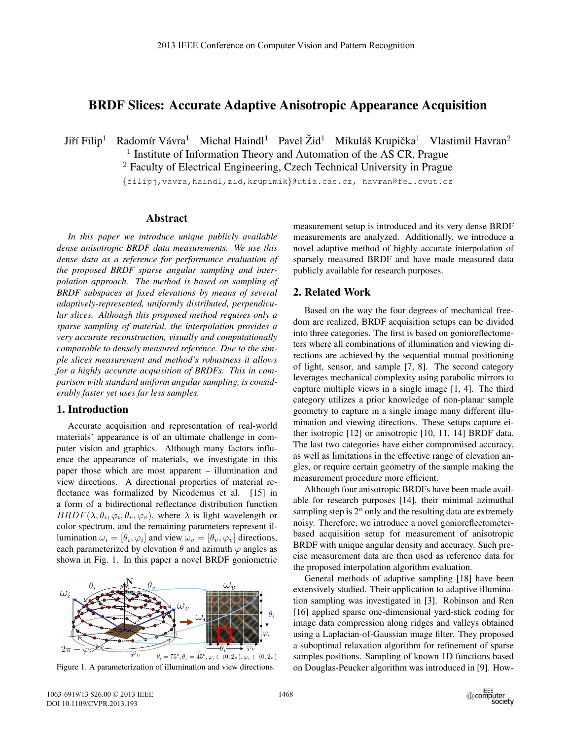# BRDF Slices: Accurate Adaptive Anisotropic Appearance Acquisition

Jiří Filip<sup>1</sup> Radomír Vávra<sup>1</sup> Michal Haindl<sup>1</sup> Pavel Žid<sup>1</sup> Mikuláš Krupička<sup>1</sup> Vlastimil Havran<sup>2</sup>  $<sup>1</sup>$  Institute of Information Theory and Automation of the AS CR, Prague</sup>

<sup>2</sup> Faculty of Electrical Engineering, Czech Technical University in Prague

{filipj,vavra,haindl,zid,krupimik}@utia.cas.cz, havran@fel.cvut.cz

#### Abstract

*In this paper we introduce unique publicly available dense anisotropic BRDF data measurements. We use this dense data as a reference for performance evaluation of the proposed BRDF sparse angular sampling and interpolation approach. The method is based on sampling of BRDF subspaces at fixed elevations by means of several adaptively-represented, uniformly distributed, perpendicular slices. Although this proposed method requires only a sparse sampling of material, the interpolation provides a very accurate reconstruction, visually and computationally comparable to densely measured reference. Due to the simple slices measurement and method's robustness it allows for a highly accurate acquisition of BRDFs. This in comparison with standard uniform angular sampling, is considerably faster yet uses far less samples.*

# 1. Introduction

Accurate acquisition and representation of real-world materials' appearance is of an ultimate challenge in computer vision and graphics. Although many factors influence the appearance of materials, we investigate in this paper those which are most apparent – illumination and view directions. A directional properties of material reflectance was formalized by Nicodemus et al. [15] in a form of a bidirectional reflectance distribution function  $BRDF(\lambda, \theta_i, \varphi_i, \theta_v, \varphi_v)$ , where  $\lambda$  is light wavelength or color spectrum, and the remaining parameters represent illumination  $\omega_i = [\theta_i, \varphi_i]$  and view  $\omega_v = [\theta_v, \varphi_v]$  directions, each parameterized by elevation  $\theta$  and azimuth  $\varphi$  angles as shown in Fig. 1. In this paper a novel BRDF goniometric



Figure 1. A parameterization of illumination and view directions.

measurement setup is introduced and its very dense BRDF measurements are analyzed. Additionally, we introduce a novel adaptive method of highly accurate interpolation of sparsely measured BRDF and have made measured data publicly available for research purposes.

### 2. Related Work

Based on the way the four degrees of mechanical freedom are realized, BRDF acquisition setups can be divided into three categories. The first is based on gonioreflectometers where all combinations of illumination and viewing directions are achieved by the sequential mutual positioning of light, sensor, and sample [7, 8]. The second category leverages mechanical complexity using parabolic mirrors to capture multiple views in a single image [1, 4]. The third category utilizes a prior knowledge of non-planar sample geometry to capture in a single image many different illumination and viewing directions. These setups capture either isotropic [12] or anisotropic [10, 11, 14] BRDF data. The last two categories have either compromised accuracy, as well as limitations in the effective range of elevation angles, or require certain geometry of the sample making the measurement procedure more efficient.

Although four anisotropic BRDFs have been made available for research purposes [14], their minimal azimuthal sampling step is  $2^{\circ}$  only and the resulting data are extremely noisy. Therefore, we introduce a novel gonioreflectometerbased acquisition setup for measurement of anisotropic BRDF with unique angular density and accuracy. Such precise measurement data are then used as reference data for the proposed interpolation algorithm evaluation.

General methods of adaptive sampling [18] have been extensively studied. Their application to adaptive illumination sampling was investigated in [3]. Robinson and Ren [16] applied sparse one-dimensional yard-stick coding for image data compression along ridges and valleys obtained using a Laplacian-of-Gaussian image filter. They proposed a suboptimal relaxation algorithm for refinement of sparse samples positions. Sampling of known 1D functions based on Douglas-Peucker algorithm was introduced in [9]. How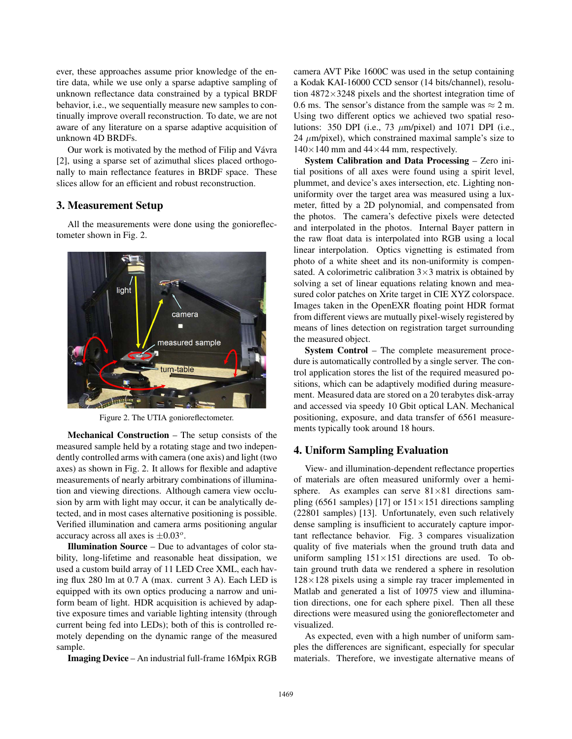ever, these approaches assume prior knowledge of the entire data, while we use only a sparse adaptive sampling of unknown reflectance data constrained by a typical BRDF behavior, i.e., we sequentially measure new samples to continually improve overall reconstruction. To date, we are not aware of any literature on a sparse adaptive acquisition of unknown 4D BRDFs.

Our work is motivated by the method of Filip and Vávra [2], using a sparse set of azimuthal slices placed orthogonally to main reflectance features in BRDF space. These slices allow for an efficient and robust reconstruction.

# 3. Measurement Setup

All the measurements were done using the gonioreflectometer shown in Fig. 2.



Figure 2. The UTIA gonioreflectometer.

Mechanical Construction – The setup consists of the measured sample held by a rotating stage and two independently controlled arms with camera (one axis) and light (two axes) as shown in Fig. 2. It allows for flexible and adaptive measurements of nearly arbitrary combinations of illumination and viewing directions. Although camera view occlusion by arm with light may occur, it can be analytically detected, and in most cases alternative positioning is possible. Verified illumination and camera arms positioning angular accuracy across all axes is  $\pm 0.03^\circ$ .

Illumination Source – Due to advantages of color stability, long-lifetime and reasonable heat dissipation, we used a custom build array of 11 LED Cree XML, each having flux 280 lm at 0.7 A (max. current 3 A). Each LED is equipped with its own optics producing a narrow and uniform beam of light. HDR acquisition is achieved by adaptive exposure times and variable lighting intensity (through current being fed into LEDs); both of this is controlled remotely depending on the dynamic range of the measured sample.

Imaging Device – An industrial full-frame 16Mpix RGB

camera AVT Pike 1600C was used in the setup containing a Kodak KAI-16000 CCD sensor (14 bits/channel), resolution  $4872 \times 3248$  pixels and the shortest integration time of 0.6 ms. The sensor's distance from the sample was  $\approx$  2 m. Using two different optics we achieved two spatial resolutions: 350 DPI (i.e., 73  $\mu$ m/pixel) and 1071 DPI (i.e., 24  $\mu$ m/pixel), which constrained maximal sample's size to  $140\times140$  mm and  $44\times44$  mm, respectively.

System Calibration and Data Processing – Zero initial positions of all axes were found using a spirit level, plummet, and device's axes intersection, etc. Lighting nonuniformity over the target area was measured using a luxmeter, fitted by a 2D polynomial, and compensated from the photos. The camera's defective pixels were detected and interpolated in the photos. Internal Bayer pattern in the raw float data is interpolated into RGB using a local linear interpolation. Optics vignetting is estimated from photo of a white sheet and its non-uniformity is compensated. A colorimetric calibration  $3 \times 3$  matrix is obtained by solving a set of linear equations relating known and measured color patches on Xrite target in CIE XYZ colorspace. Images taken in the OpenEXR floating point HDR format from different views are mutually pixel-wisely registered by means of lines detection on registration target surrounding the measured object.

System Control – The complete measurement procedure is automatically controlled by a single server. The control application stores the list of the required measured positions, which can be adaptively modified during measurement. Measured data are stored on a 20 terabytes disk-array and accessed via speedy 10 Gbit optical LAN. Mechanical positioning, exposure, and data transfer of 6561 measurements typically took around 18 hours.

## 4. Uniform Sampling Evaluation

View- and illumination-dependent reflectance properties of materials are often measured uniformly over a hemisphere. As examples can serve  $81\times81$  directions sampling (6561 samples) [17] or  $151 \times 151$  directions sampling (22801 samples) [13]. Unfortunately, even such relatively dense sampling is insufficient to accurately capture important reflectance behavior. Fig. 3 compares visualization quality of five materials when the ground truth data and uniform sampling  $151 \times 151$  directions are used. To obtain ground truth data we rendered a sphere in resolution  $128\times128$  pixels using a simple ray tracer implemented in Matlab and generated a list of 10975 view and illumination directions, one for each sphere pixel. Then all these directions were measured using the gonioreflectometer and visualized.

As expected, even with a high number of uniform samples the differences are significant, especially for specular materials. Therefore, we investigate alternative means of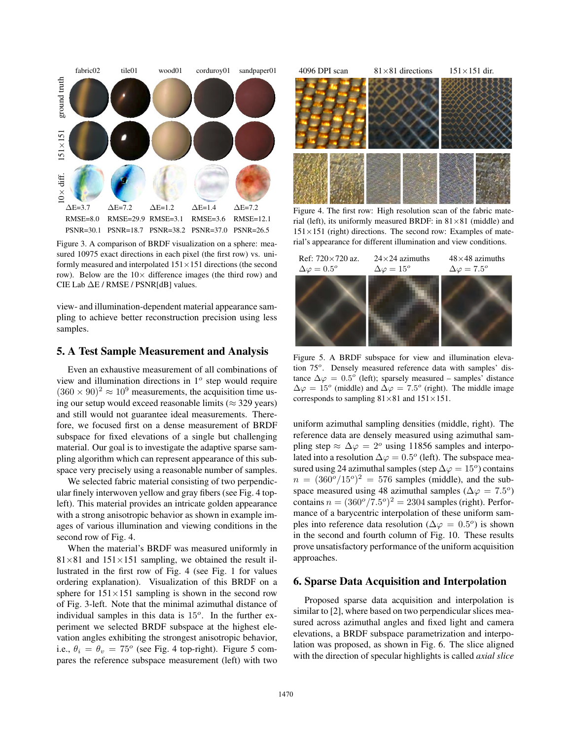

Figure 3. A comparison of BRDF visualization on a sphere: measured 10975 exact directions in each pixel (the first row) vs. uniformly measured and interpolated  $151 \times 151$  directions (the second row). Below are the  $10\times$  difference images (the third row) and CIE Lab ΔE / RMSE / PSNR[dB] values.

view- and illumination-dependent material appearance sampling to achieve better reconstruction precision using less samples.

### 5. A Test Sample Measurement and Analysis

Even an exhaustive measurement of all combinations of view and illumination directions in  $1<sup>o</sup>$  step would require  $(360 \times 90)^2 \approx 10^9$  measurements, the acquisition time using our setup would exceed reasonable limits ( $\approx$  329 years) and still would not guarantee ideal measurements. Therefore, we focused first on a dense measurement of BRDF subspace for fixed elevations of a single but challenging material. Our goal is to investigate the adaptive sparse sampling algorithm which can represent appearance of this subspace very precisely using a reasonable number of samples.

We selected fabric material consisting of two perpendicular finely interwoven yellow and gray fibers (see Fig. 4 topleft). This material provides an intricate golden appearance with a strong anisotropic behavior as shown in example images of various illumination and viewing conditions in the second row of Fig. 4.

When the material's BRDF was measured uniformly in  $81\times81$  and  $151\times151$  sampling, we obtained the result illustrated in the first row of Fig. 4 (see Fig. 1 for values ordering explanation). Visualization of this BRDF on a sphere for  $151 \times 151$  sampling is shown in the second row of Fig. 3-left. Note that the minimal azimuthal distance of individual samples in this data is  $15<sup>o</sup>$ . In the further experiment we selected BRDF subspace at the highest elevation angles exhibiting the strongest anisotropic behavior, i.e.,  $\theta_i = \theta_v = 75^\circ$  (see Fig. 4 top-right). Figure 5 compares the reference subspace measurement (left) with two



Figure 4. The first row: High resolution scan of the fabric material (left), its uniformly measured BRDF: in  $81 \times 81$  (middle) and  $151\times151$  (right) directions. The second row: Examples of material's appearance for different illumination and view conditions.



Figure 5. A BRDF subspace for view and illumination elevation 75°. Densely measured reference data with samples' distance  $\Delta \varphi = 0.5^{\circ}$  (left); sparsely measured – samples' distance  $\Delta \varphi = 15^{\circ}$  (middle) and  $\Delta \varphi = 7.5^{\circ}$  (right). The middle image corresponds to sampling  $81\times81$  and  $151\times151$ .

uniform azimuthal sampling densities (middle, right). The reference data are densely measured using azimuthal sampling step  $\approx \Delta \varphi = 2^{\circ}$  using 11856 samples and interpolated into a resolution  $\Delta \varphi = 0.5^{\circ}$  (left). The subspace measured using 24 azimuthal samples (step  $\Delta \varphi = 15^{\circ}$ ) contains  $n = (360^\circ/15^\circ)^2 = 576$  samples (middle), and the subspace measured using 48 azimuthal samples ( $\Delta \varphi = 7.5^{\circ}$ ) contains  $n = (360^\circ/7.5^\circ)^2 = 2304$  samples (right). Performance of a barycentric interpolation of these uniform samples into reference data resolution ( $\Delta \varphi = 0.5^{\circ}$ ) is shown in the second and fourth column of Fig. 10. These results prove unsatisfactory performance of the uniform acquisition approaches.

### 6. Sparse Data Acquisition and Interpolation

Proposed sparse data acquisition and interpolation is similar to [2], where based on two perpendicular slices measured across azimuthal angles and fixed light and camera elevations, a BRDF subspace parametrization and interpolation was proposed, as shown in Fig. 6. The slice aligned with the direction of specular highlights is called *axial slice*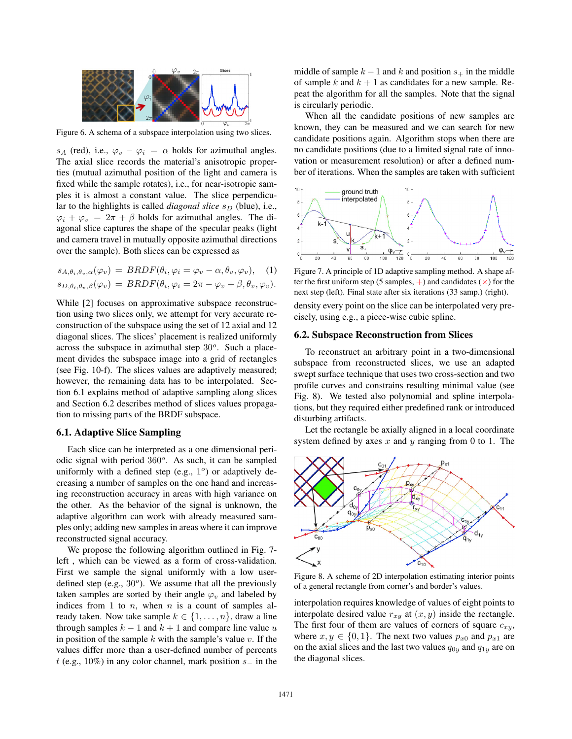

Figure 6. A schema of a subspace interpolation using two slices.

s<sub>A</sub> (red), i.e.,  $\varphi_v - \varphi_i = \alpha$  holds for azimuthal angles. The axial slice records the material's anisotropic properties (mutual azimuthal position of the light and camera is fixed while the sample rotates), i.e., for near-isotropic samples it is almost a constant value. The slice perpendicular to the highlights is called *diagonal slice*  $s_D$  (blue), i.e.,  $\varphi_i + \varphi_v = 2\pi + \beta$  holds for azimuthal angles. The diagonal slice captures the shape of the specular peaks (light and camera travel in mutually opposite azimuthal directions over the sample). Both slices can be expressed as

$$
s_{A,\theta_i,\theta_v,\alpha}(\varphi_v) = BRDF(\theta_i, \varphi_i = \varphi_v - \alpha, \theta_v, \varphi_v),
$$
 (1)  

$$
s_{D,\theta_i,\theta_v,\beta}(\varphi_v) = BRDF(\theta_i, \varphi_i = 2\pi - \varphi_v + \beta, \theta_v, \varphi_v).
$$

While [2] focuses on approximative subspace reconstruction using two slices only, we attempt for very accurate reconstruction of the subspace using the set of 12 axial and 12 diagonal slices. The slices' placement is realized uniformly across the subspace in azimuthal step  $30^{\circ}$ . Such a placement divides the subspace image into a grid of rectangles (see Fig. 10-f). The slices values are adaptively measured; however, the remaining data has to be interpolated. Section 6.1 explains method of adaptive sampling along slices and Section 6.2 describes method of slices values propagation to missing parts of the BRDF subspace.

#### 6.1. Adaptive Slice Sampling

Each slice can be interpreted as a one dimensional periodic signal with period  $360^\circ$ . As such, it can be sampled uniformly with a defined step (e.g.,  $1^{\circ}$ ) or adaptively decreasing a number of samples on the one hand and increasing reconstruction accuracy in areas with high variance on the other. As the behavior of the signal is unknown, the adaptive algorithm can work with already measured samples only; adding new samples in areas where it can improve reconstructed signal accuracy.

We propose the following algorithm outlined in Fig. 7 left , which can be viewed as a form of cross-validation. First we sample the signal uniformly with a low userdefined step (e.g.,  $30^{\circ}$ ). We assume that all the previously taken samples are sorted by their angle  $\varphi_v$  and labeled by indices from 1 to  $n$ , when  $n$  is a count of samples already taken. Now take sample  $k \in \{1, \ldots, n\}$ , draw a line through samples  $k - 1$  and  $k + 1$  and compare line value u in position of the sample  $k$  with the sample's value  $v$ . If the values differ more than a user-defined number of percents t (e.g., 10%) in any color channel, mark position  $s_$  in the middle of sample  $k - 1$  and k and position  $s_+$  in the middle of sample k and  $k + 1$  as candidates for a new sample. Repeat the algorithm for all the samples. Note that the signal is circularly periodic.

When all the candidate positions of new samples are known, they can be measured and we can search for new candidate positions again. Algorithm stops when there are no candidate positions (due to a limited signal rate of innovation or measurement resolution) or after a defined number of iterations. When the samples are taken with sufficient



Figure 7. A principle of 1D adaptive sampling method. A shape after the first uniform step (5 samples,  $+$ ) and candidates ( $\times$ ) for the next step (left). Final state after six iterations (33 samp.) (right).

density every point on the slice can be interpolated very precisely, using e.g., a piece-wise cubic spline.

#### 6.2. Subspace Reconstruction from Slices

To reconstruct an arbitrary point in a two-dimensional subspace from reconstructed slices, we use an adapted swept surface technique that uses two cross-section and two profile curves and constrains resulting minimal value (see Fig. 8). We tested also polynomial and spline interpolations, but they required either predefined rank or introduced disturbing artifacts.

Let the rectangle be axially aligned in a local coordinate system defined by axes  $x$  and  $y$  ranging from 0 to 1. The



Figure 8. A scheme of 2D interpolation estimating interior points of a general rectangle from corner's and border's values.

interpolation requires knowledge of values of eight points to interpolate desired value  $r_{xy}$  at  $(x, y)$  inside the rectangle. The first four of them are values of corners of square  $c_{x,y}$ , where  $x, y \in \{0, 1\}$ . The next two values  $p_{x0}$  and  $p_{x1}$  are on the axial slices and the last two values  $q_{0y}$  and  $q_{1y}$  are on the diagonal slices.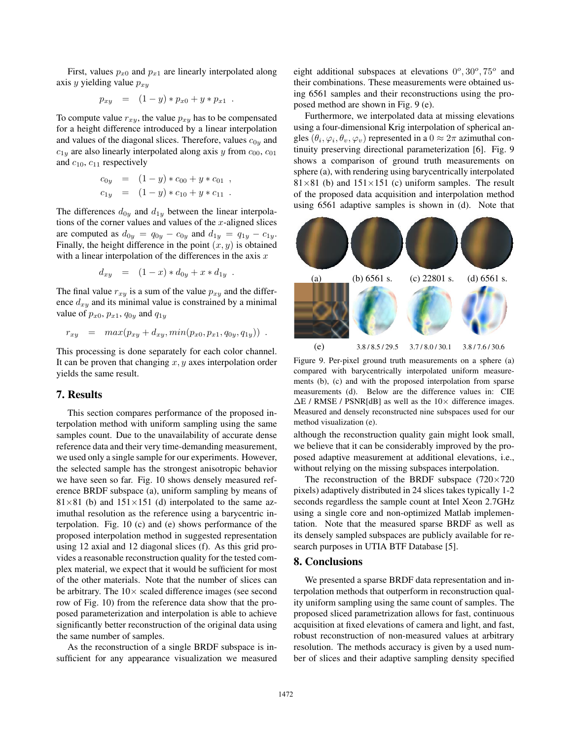First, values  $p_{x0}$  and  $p_{x1}$  are linearly interpolated along axis y yielding value  $p_{x,y}$ 

$$
p_{xy} = (1 - y) * p_{x0} + y * p_{x1} .
$$

To compute value  $r_{xy}$ , the value  $p_{xy}$  has to be compensated for a height difference introduced by a linear interpolation and values of the diagonal slices. Therefore, values  $c_{0y}$  and  $c_{1y}$  are also linearly interpolated along axis y from  $c_{00}$ ,  $c_{01}$ and  $c_{10}$ ,  $c_{11}$  respectively

$$
c_{0y} = (1 - y) * c_{00} + y * c_{01} ,
$$
  
\n
$$
c_{1y} = (1 - y) * c_{10} + y * c_{11} .
$$

The differences  $d_{0y}$  and  $d_{1y}$  between the linear interpolations of the corner values and values of the  $x$ -aligned slices are computed as  $d_{0y} = q_{0y} - c_{0y}$  and  $d_{1y} = q_{1y} - c_{1y}$ . Finally, the height difference in the point  $(x, y)$  is obtained with a linear interpolation of the differences in the axis  $x$ 

$$
d_{xy} = (1-x) * d_{0y} + x * d_{1y} .
$$

The final value  $r_{xy}$  is a sum of the value  $p_{xy}$  and the difference  $d_{xy}$  and its minimal value is constrained by a minimal value of  $p_{x0}$ ,  $p_{x1}$ ,  $q_{0y}$  and  $q_{1y}$ 

$$
r_{xy} = max(p_{xy} + d_{xy}, min(p_{x0}, p_{x1}, q_{0y}, q_{1y}))
$$

This processing is done separately for each color channel. It can be proven that changing  $x, y$  axes interpolation order yields the same result.

## 7. Results

This section compares performance of the proposed interpolation method with uniform sampling using the same samples count. Due to the unavailability of accurate dense reference data and their very time-demanding measurement, we used only a single sample for our experiments. However, the selected sample has the strongest anisotropic behavior we have seen so far. Fig. 10 shows densely measured reference BRDF subspace (a), uniform sampling by means of  $81\times81$  (b) and  $151\times151$  (d) interpolated to the same azimuthal resolution as the reference using a barycentric interpolation. Fig. 10 (c) and (e) shows performance of the proposed interpolation method in suggested representation using 12 axial and 12 diagonal slices (f). As this grid provides a reasonable reconstruction quality for the tested complex material, we expect that it would be sufficient for most of the other materials. Note that the number of slices can be arbitrary. The  $10\times$  scaled difference images (see second row of Fig. 10) from the reference data show that the proposed parameterization and interpolation is able to achieve significantly better reconstruction of the original data using the same number of samples.

As the reconstruction of a single BRDF subspace is insufficient for any appearance visualization we measured eight additional subspaces at elevations  $0^{\circ}$ ,  $30^{\circ}$ ,  $75^{\circ}$  and their combinations. These measurements were obtained using 6561 samples and their reconstructions using the proposed method are shown in Fig. 9 (e).

Furthermore, we interpolated data at missing elevations using a four-dimensional Krig interpolation of spherical angles  $(\theta_i, \varphi_i, \theta_v, \varphi_v)$  represented in a  $0 \approx 2\pi$  azimuthal continuity preserving directional parameterization [6]. Fig. 9 shows a comparison of ground truth measurements on sphere (a), with rendering using barycentrically interpolated 81×81 (b) and  $151\times151$  (c) uniform samples. The result of the proposed data acquisition and interpolation method using 6561 adaptive samples is shown in (d). Note that



Figure 9. Per-pixel ground truth measurements on a sphere (a) compared with barycentrically interpolated uniform measurements (b), (c) and with the proposed interpolation from sparse measurements (d). Below are the difference values in: CIE  $\Delta E$  / RMSE / PSNR[dB] as well as the 10 $\times$  difference images. Measured and densely reconstructed nine subspaces used for our method visualization (e).

although the reconstruction quality gain might look small, we believe that it can be considerably improved by the proposed adaptive measurement at additional elevations, i.e., without relying on the missing subspaces interpolation.

The reconstruction of the BRDF subspace  $(720\times720)$ pixels) adaptively distributed in 24 slices takes typically 1-2 seconds regardless the sample count at Intel Xeon 2.7GHz using a single core and non-optimized Matlab implementation. Note that the measured sparse BRDF as well as its densely sampled subspaces are publicly available for research purposes in UTIA BTF Database [5].

## 8. Conclusions

We presented a sparse BRDF data representation and interpolation methods that outperform in reconstruction quality uniform sampling using the same count of samples. The proposed sliced parametrization allows for fast, continuous acquisition at fixed elevations of camera and light, and fast, robust reconstruction of non-measured values at arbitrary resolution. The methods accuracy is given by a used number of slices and their adaptive sampling density specified